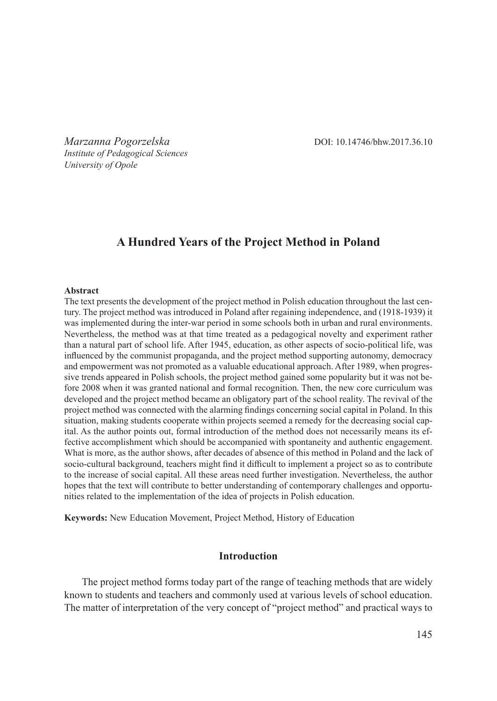*Marzanna Pogorzelska* DOI: 10.14746/bhw.2017.36.10 *Institute of Pedagogical Sciences University of Opole*

# **A Hundred Years of the Project Method in Poland**

#### **Abstract**

The text presents the development of the project method in Polish education throughout the last century. The project method was introduced in Poland after regaining independence, and (1918-1939) it was implemented during the inter-war period in some schools both in urban and rural environments. Nevertheless, the method was at that time treated as a pedagogical novelty and experiment rather than a natural part of school life. After 1945, education, as other aspects of socio-political life, was influenced by the communist propaganda, and the project method supporting autonomy, democracy and empowerment was not promoted as a valuable educational approach. After 1989, when progressive trends appeared in Polish schools, the project method gained some popularity but it was not before 2008 when it was granted national and formal recognition. Then, the new core curriculum was developed and the project method became an obligatory part of the school reality. The revival of the project method was connected with the alarming findings concerning social capital in Poland. In this situation, making students cooperate within projects seemed a remedy for the decreasing social capital. As the author points out, formal introduction of the method does not necessarily means its effective accomplishment which should be accompanied with spontaneity and authentic engagement. What is more, as the author shows, after decades of absence of this method in Poland and the lack of socio-cultural background, teachers might find it difficult to implement a project so as to contribute to the increase of social capital. All these areas need further investigation. Nevertheless, the author hopes that the text will contribute to better understanding of contemporary challenges and opportunities related to the implementation of the idea of projects in Polish education.

**Keywords:** New Education Movement, Project Method, History of Education

### **Introduction**

The project method forms today part of the range of teaching methods that are widely known to students and teachers and commonly used at various levels of school education. The matter of interpretation of the very concept of "project method" and practical ways to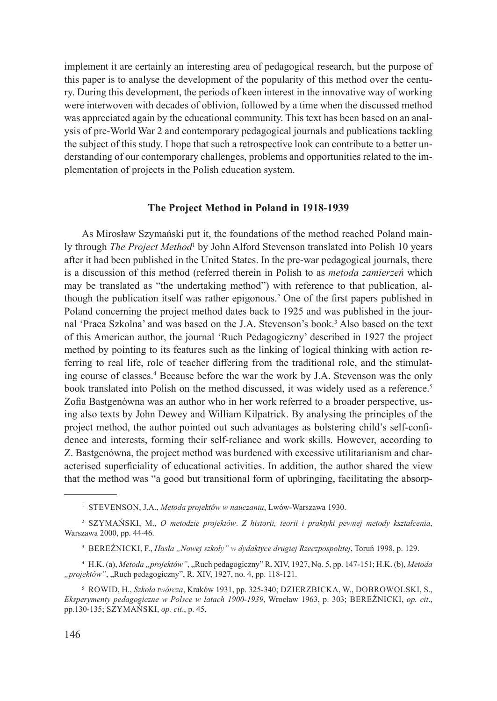implement it are certainly an interesting area of pedagogical research, but the purpose of this paper is to analyse the development of the popularity of this method over the century. During this development, the periods of keen interest in the innovative way of working were interwoven with decades of oblivion, followed by a time when the discussed method was appreciated again by the educational community. This text has been based on an analysis of pre-World War 2 and contemporary pedagogical journals and publications tackling the subject of this study. I hope that such a retrospective look can contribute to a better understanding of our contemporary challenges, problems and opportunities related to the implementation of projects in the Polish education system.

#### **The Project Method in Poland in 1918-1939**

As Mirosław Szymański put it, the foundations of the method reached Poland mainly through *The Project Method*<sup>1</sup> by John Alford Stevenson translated into Polish 10 years after it had been published in the United States. In the pre-war pedagogical journals, there is a discussion of this method (referred therein in Polish to as *metoda zamierzeń* which may be translated as "the undertaking method") with reference to that publication, although the publication itself was rather epigonous.<sup>2</sup> One of the first papers published in Poland concerning the project method dates back to 1925 and was published in the journal 'Praca Szkolna' and was based on the J.A. Stevenson's book.<sup>3</sup> Also based on the text of this American author, the journal 'Ruch Pedagogiczny' described in 1927 the project method by pointing to its features such as the linking of logical thinking with action referring to real life, role of teacher differing from the traditional role, and the stimulating course of classes.4 Because before the war the work by J.A. Stevenson was the only book translated into Polish on the method discussed, it was widely used as a reference.<sup>5</sup> Zofia Bastgenówna was an author who in her work referred to a broader perspective, using also texts by John Dewey and William Kilpatrick. By analysing the principles of the project method, the author pointed out such advantages as bolstering child's self-confidence and interests, forming their self-reliance and work skills. However, according to Z. Bastgenówna, the project method was burdened with excessive utilitarianism and characterised superficiality of educational activities. In addition, the author shared the view that the method was "a good but transitional form of upbringing, facilitating the absorp-

<sup>&</sup>lt;sup>1</sup> STEVENSON, J.A., *Metoda projektów w nauczaniu*, Lwów-Warszawa 1930.

<sup>2</sup> Szymański, M., *O metodzie projektów*. *Z historii, teorii i praktyki pewnej metody kształcenia*, Warszawa 2000, pp. 44-46.

<sup>&</sup>lt;sup>3</sup> BEREŹNICKI, F., *Hasła "Nowej szkoły" w dydaktyce drugiej Rzeczpospolitej*, Toruń 1998, p. 129.

<sup>&</sup>lt;sup>4</sup> H.K. (a), *Metoda "projektów"*, "Ruch pedagogiczny" R. XIV, 1927, No. 5, pp. 147-151; H.K. (b), *Metoda* "projektów", "Ruch pedagogiczny", R. XIV, 1927, no. 4, pp. 118-121.

<sup>5</sup> Rowid, H., *Szkoła twórcza*, Kraków 1931, pp. 325-340; Dzierzbicka, W., Dobrowolski, S., *Eksperymenty pedagogiczne w Polsce w latach 1900-1939*, Wrocław 1963, p. 303; Bereźnicki, *op. cit*., pp.130-135; Szymański, *op. cit*., p. 45.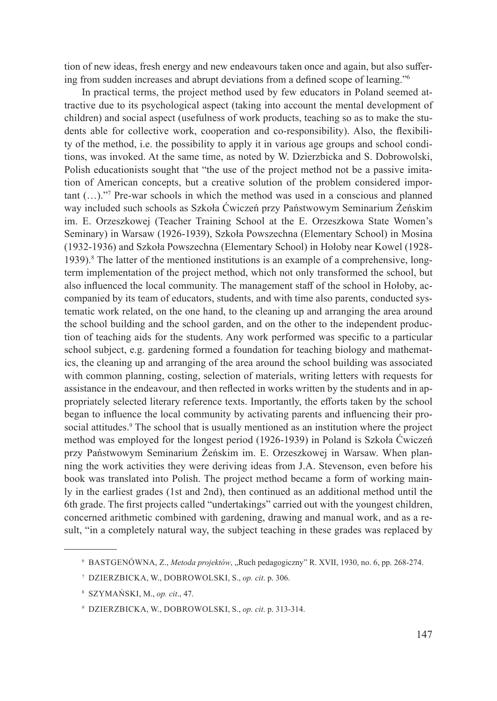tion of new ideas, fresh energy and new endeavours taken once and again, but also suffering from sudden increases and abrupt deviations from a defined scope of learning."<sup>6</sup>

In practical terms, the project method used by few educators in Poland seemed attractive due to its psychological aspect (taking into account the mental development of children) and social aspect (usefulness of work products, teaching so as to make the students able for collective work, cooperation and co-responsibility). Also, the flexibility of the method, i.e. the possibility to apply it in various age groups and school conditions, was invoked. At the same time, as noted by W. Dzierzbicka and S. Dobrowolski, Polish educationists sought that "the use of the project method not be a passive imitation of American concepts, but a creative solution of the problem considered important (…)."<sup>7</sup> Pre-war schools in which the method was used in a conscious and planned way included such schools as Szkoła Ćwiczeń przy Państwowym Seminarium Żeńskim im. E. Orzeszkowej (Teacher Training School at the E. Orzeszkowa State Women's Seminary) in Warsaw (1926-1939), Szkoła Powszechna (Elementary School) in Mosina (1932-1936) and Szkoła Powszechna (Elementary School) in Hołoby near Kowel (1928- 1939).<sup>8</sup> The latter of the mentioned institutions is an example of a comprehensive, longterm implementation of the project method, which not only transformed the school, but also influenced the local community. The management staff of the school in Hołoby, accompanied by its team of educators, students, and with time also parents, conducted systematic work related, on the one hand, to the cleaning up and arranging the area around the school building and the school garden, and on the other to the independent production of teaching aids for the students. Any work performed was specific to a particular school subject, e.g. gardening formed a foundation for teaching biology and mathematics, the cleaning up and arranging of the area around the school building was associated with common planning, costing, selection of materials, writing letters with requests for assistance in the endeavour, and then reflected in works written by the students and in appropriately selected literary reference texts. Importantly, the efforts taken by the school began to influence the local community by activating parents and influencing their prosocial attitudes.<sup>9</sup> The school that is usually mentioned as an institution where the project method was employed for the longest period (1926-1939) in Poland is Szkoła Ćwiczeń przy Państwowym Seminarium Żeńskim im. E. Orzeszkowej in Warsaw. When planning the work activities they were deriving ideas from J.A. Stevenson, even before his book was translated into Polish. The project method became a form of working mainly in the earliest grades (1st and 2nd), then continued as an additional method until the 6th grade. The first projects called "undertakings" carried out with the youngest children, concerned arithmetic combined with gardening, drawing and manual work, and as a result, "in a completely natural way, the subject teaching in these grades was replaced by

<sup>6</sup> Bastgenówna, Z., *Metoda projektów*, "Ruch pedagogiczny" R. XVII, 1930, no. 6, pp. 268-274.

<sup>7</sup> Dzierzbicka, W., Dobrowolski, S., *op. cit*. p. 306.

<sup>8</sup> Szymański, M., *op. cit*., 47.

<sup>9</sup> Dzierzbicka, W., Dobrowolski, S., *op. cit*. p. 313-314.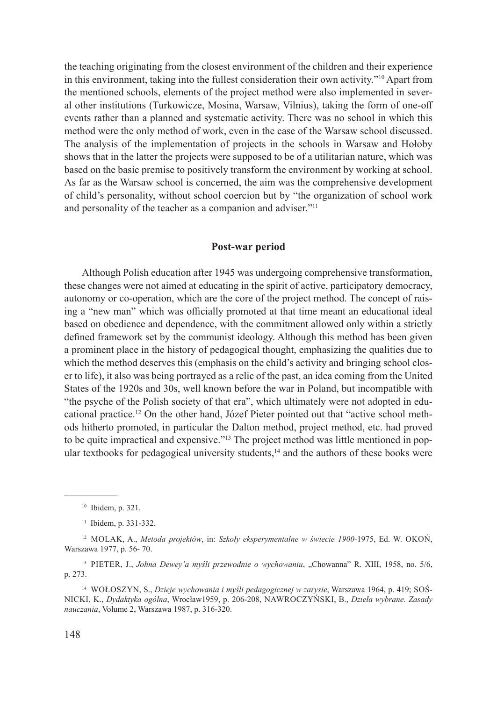the teaching originating from the closest environment of the children and their experience in this environment, taking into the fullest consideration their own activity."<sup>10</sup> Apart from the mentioned schools, elements of the project method were also implemented in several other institutions (Turkowicze, Mosina, Warsaw, Vilnius), taking the form of one-off events rather than a planned and systematic activity. There was no school in which this method were the only method of work, even in the case of the Warsaw school discussed. The analysis of the implementation of projects in the schools in Warsaw and Hołoby shows that in the latter the projects were supposed to be of a utilitarian nature, which was based on the basic premise to positively transform the environment by working at school. As far as the Warsaw school is concerned, the aim was the comprehensive development of child's personality, without school coercion but by "the organization of school work and personality of the teacher as a companion and adviser."<sup>11</sup>

#### **Post-war period**

Although Polish education after 1945 was undergoing comprehensive transformation, these changes were not aimed at educating in the spirit of active, participatory democracy, autonomy or co-operation, which are the core of the project method. The concept of raising a "new man" which was officially promoted at that time meant an educational ideal based on obedience and dependence, with the commitment allowed only within a strictly defined framework set by the communist ideology. Although this method has been given a prominent place in the history of pedagogical thought, emphasizing the qualities due to which the method deserves this (emphasis on the child's activity and bringing school closer to life), it also was being portrayed as a relic of the past, an idea coming from the United States of the 1920s and 30s, well known before the war in Poland, but incompatible with "the psyche of the Polish society of that era", which ultimately were not adopted in educational practice.12 On the other hand, Józef Pieter pointed out that "active school methods hitherto promoted, in particular the Dalton method, project method, etc. had proved to be quite impractical and expensive."<sup>13</sup> The project method was little mentioned in popular textbooks for pedagogical university students, $14$  and the authors of these books were

<sup>14</sup> Wołoszyn, S., *Dzieje wychowania i myśli pedagogicznej w zarysie*, Warszawa 1964, p. 419; Sośnicki, K., *Dydaktyka ogólna*, Wrocław1959, p. 206-208, Nawroczyński, B., *Dzieła wybrane. Zasady nauczania*, Volume 2, Warszawa 1987, p. 316-320.

<sup>10</sup> Ibidem, p. 321.

<sup>11</sup> Ibidem, p. 331-332.

<sup>12</sup> Molak, A., *Metoda projektów*, in: *Szkoły eksperymentalne w świecie 1900-*1975, Ed. W. Okoń, Warszawa 1977, p. 56- 70.

<sup>&</sup>lt;sup>13</sup> PIETER, J., *Johna Dewey'a myśli przewodnie o wychowaniu*, "Chowanna" R. XIII, 1958, no. 5/6, p. 273.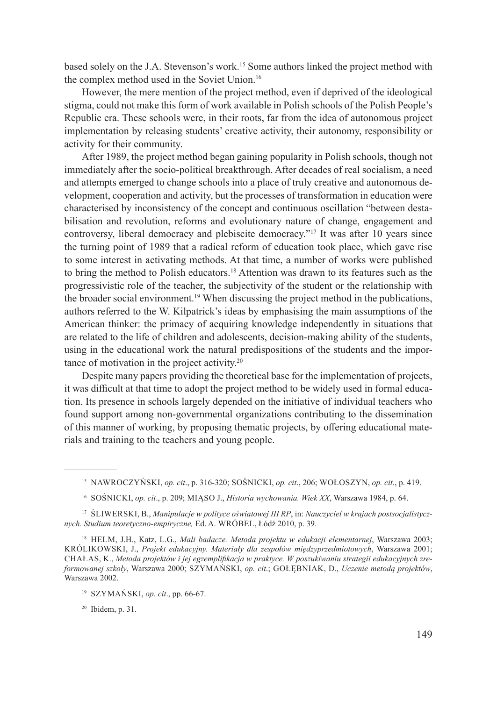based solely on the J.A. Stevenson's work.15 Some authors linked the project method with the complex method used in the Soviet Union.<sup>16</sup>

However, the mere mention of the project method, even if deprived of the ideological stigma, could not make this form of work available in Polish schools of the Polish People's Republic era. These schools were, in their roots, far from the idea of autonomous project implementation by releasing students' creative activity, their autonomy, responsibility or activity for their community.

After 1989, the project method began gaining popularity in Polish schools, though not immediately after the socio-political breakthrough. After decades of real socialism, a need and attempts emerged to change schools into a place of truly creative and autonomous development, cooperation and activity, but the processes of transformation in education were characterised by inconsistency of the concept and continuous oscillation "between destabilisation and revolution, reforms and evolutionary nature of change, engagement and controversy, liberal democracy and plebiscite democracy."<sup>17</sup> It was after 10 years since the turning point of 1989 that a radical reform of education took place, which gave rise to some interest in activating methods. At that time, a number of works were published to bring the method to Polish educators.18 Attention was drawn to its features such as the progressivistic role of the teacher, the subjectivity of the student or the relationship with the broader social environment.19 When discussing the project method in the publications, authors referred to the W. Kilpatrick's ideas by emphasising the main assumptions of the American thinker: the primacy of acquiring knowledge independently in situations that are related to the life of children and adolescents, decision-making ability of the students, using in the educational work the natural predispositions of the students and the importance of motivation in the project activity.<sup>20</sup>

Despite many papers providing the theoretical base for the implementation of projects, it was difficult at that time to adopt the project method to be widely used in formal education. Its presence in schools largely depended on the initiative of individual teachers who found support among non-governmental organizations contributing to the dissemination of this manner of working, by proposing thematic projects, by offering educational materials and training to the teachers and young people.

<sup>17</sup> Śliwerski, B., *Manipulacje w polityce oświatowej III RP*, in: *Nauczyciel w krajach postsocjalistycznych. Studium teoretyczno-empiryczne,* Ed. A. Wróbel, Łódź 2010, p. 39.

<sup>20</sup> Ibidem, p. 31.

<sup>15</sup> Nawroczyński, *op. cit*., p. 316-320; Sośnicki, *op. cit*., 206; Wołoszyn, *op. cit*., p. 419.

<sup>16</sup> Sośnicki, *op. cit*., p. 209; Miąso J., *Historia wychowania. Wiek XX*, Warszawa 1984, p. 64.

<sup>18</sup> Helm, J.H., Katz, L.G., *Mali badacze. Metoda projektu w edukacji elementarnej*, Warszawa 2003; Królikowski, J., *Projekt edukacyjny. Materiały dla zespołów międzyprzedmiotowych*, Warszawa 2001; Chałas, K., *Metoda projektów i jej egzemplifikacja w praktyce. W poszukiwaniu strategii edukacyjnych zreformowanej szkoły*, Warszawa 2000; Szymański, *op. cit*.; Gołębniak, D., *Uczenie metodą projektów*, Warszawa 2002.

<sup>19</sup> Szymański, *op. cit*., pp. 66-67.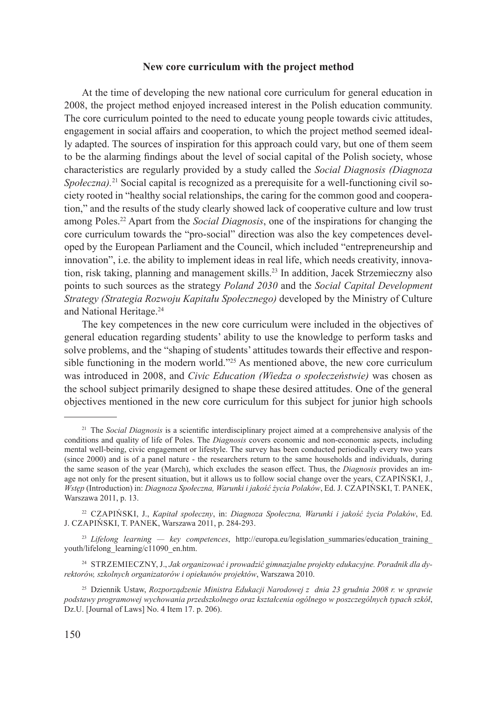## **New core curriculum with the project method**

At the time of developing the new national core curriculum for general education in 2008, the project method enjoyed increased interest in the Polish education community. The core curriculum pointed to the need to educate young people towards civic attitudes, engagement in social affairs and cooperation, to which the project method seemed ideally adapted. The sources of inspiration for this approach could vary, but one of them seem to be the alarming findings about the level of social capital of the Polish society, whose characteristics are regularly provided by a study called the *Social Diagnosis (Diagnoza Społeczna*).<sup>21</sup> Social capital is recognized as a prerequisite for a well-functioning civil society rooted in "healthy social relationships, the caring for the common good and cooperation," and the results of the study clearly showed lack of cooperative culture and low trust among Poles.<sup>22</sup> Apart from the *Social Diagnosis*, one of the inspirations for changing the core curriculum towards the "pro-social" direction was also the key competences developed by the European Parliament and the Council, which included "entrepreneurship and innovation", i.e. the ability to implement ideas in real life, which needs creativity, innovation, risk taking, planning and management skills.<sup>23</sup> In addition, Jacek Strzemieczny also points to such sources as the strategy *Poland 2030* and the *Social Capital Development Strategy (Strategia Rozwoju Kapitału Społecznego)* developed by the Ministry of Culture and National Heritage.<sup>24</sup>

The key competences in the new core curriculum were included in the objectives of general education regarding students' ability to use the knowledge to perform tasks and solve problems, and the "shaping of students' attitudes towards their effective and responsible functioning in the modern world."<sup>25</sup> As mentioned above, the new core curriculum was introduced in 2008, and *Civic Education (Wiedza o społeczeństwie)* was chosen as the school subject primarily designed to shape these desired attitudes. One of the general objectives mentioned in the new core curriculum for this subject for junior high schools

<sup>&</sup>lt;sup>21</sup> The *Social Diagnosis* is a scientific interdisciplinary project aimed at a comprehensive analysis of the conditions and quality of life of Poles. The *Diagnosis* covers economic and non-economic aspects, including mental well-being, civic engagement or lifestyle. The survey has been conducted periodically every two years (since 2000) and is of a panel nature - the researchers return to the same households and individuals, during the same season of the year (March), which excludes the season effect. Thus, the *Diagnosis* provides an image not only for the present situation, but it allows us to follow social change over the years, CZAPIŃSKI, J., *Wstęp* (Introduction) in: *Diagnoza Społeczna, Warunki i jakość życia Polaków*, Ed. J. Czapiński, T. Panek, Warszawa 2011, p. 13.

<sup>22</sup> Czapiński, J., *Kapitał społeczny*, in: *Diagnoza Społeczna, Warunki i jakość życia Polaków*, Ed. J. Czapiński, T. Panek, Warszawa 2011, p. 284-293.

<sup>&</sup>lt;sup>23</sup> Lifelong learning — key competences, http://europa.eu/legislation\_summaries/education\_training youth/lifelong\_learning/c11090\_en.htm.

<sup>24</sup> Strzemieczny, J., *Jak organizować i prowadzić gimnazjalne projekty edukacyjne. Poradnik dla dyrektorów, szkolnych organizatorów i opiekunów projektów*, Warszawa 2010.

<sup>25</sup> Dziennik Ustaw, *Rozporządzenie Ministra Edukacji Narodowej z dnia 23 grudnia 2008 r. w sprawie podstawy programowej wychowania przedszkolnego oraz kształcenia ogólnego w poszczególnych typach szkół*, Dz.U. [Journal of Laws] No. 4 Item 17. p. 206).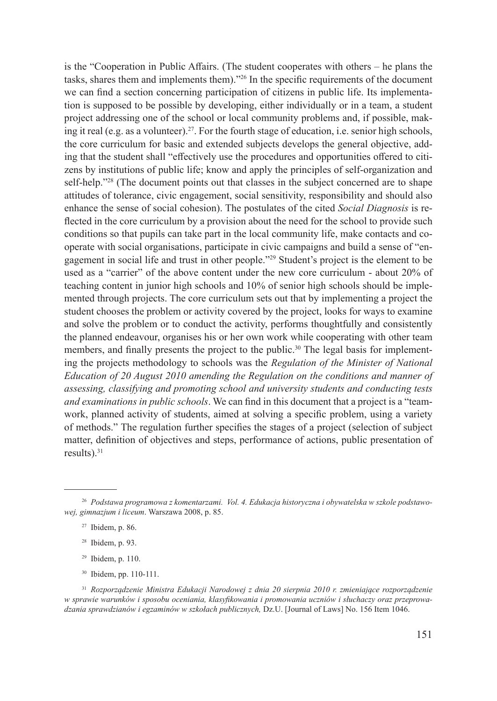is the "Cooperation in Public Affairs. (The student cooperates with others – he plans the tasks, shares them and implements them)."<sup>26</sup> In the specific requirements of the document we can find a section concerning participation of citizens in public life. Its implementation is supposed to be possible by developing, either individually or in a team, a student project addressing one of the school or local community problems and, if possible, making it real (e.g. as a volunteer).<sup>27</sup>. For the fourth stage of education, i.e. senior high schools, the core curriculum for basic and extended subjects develops the general objective, adding that the student shall "effectively use the procedures and opportunities offered to citizens by institutions of public life; know and apply the principles of self-organization and self-help."<sup>28</sup> (The document points out that classes in the subject concerned are to shape attitudes of tolerance, civic engagement, social sensitivity, responsibility and should also enhance the sense of social cohesion). The postulates of the cited *Social Diagnosis* is reflected in the core curriculum by a provision about the need for the school to provide such conditions so that pupils can take part in the local community life, make contacts and cooperate with social organisations, participate in civic campaigns and build a sense of "engagement in social life and trust in other people."29 Student's project is the element to be used as a "carrier" of the above content under the new core curriculum - about 20% of teaching content in junior high schools and 10% of senior high schools should be implemented through projects. The core curriculum sets out that by implementing a project the student chooses the problem or activity covered by the project, looks for ways to examine and solve the problem or to conduct the activity, performs thoughtfully and consistently the planned endeavour, organises his or her own work while cooperating with other team members, and finally presents the project to the public.<sup>30</sup> The legal basis for implementing the projects methodology to schools was the *Regulation of the Minister of National Education of 20 August 2010 amending the Regulation on the conditions and manner of assessing, classifying and promoting school and university students and conducting tests and examinations in public schools*. We can find in this document that a project is a "teamwork, planned activity of students, aimed at solving a specific problem, using a variety of methods." The regulation further specifies the stages of a project (selection of subject matter, definition of objectives and steps, performance of actions, public presentation of results).<sup>31</sup>

- $29$  Ibidem, p. 110.
- <sup>30</sup> Ibidem, pp. 110-111.

<sup>31</sup> *Rozporządzenie Ministra Edukacji Narodowej z dnia 20 sierpnia 2010 r. zmieniające rozporządzenie w sprawie warunków i sposobu oceniania, klasyfikowania i promowania uczniów i słuchaczy oraz przeprowadzania sprawdzianów i egzaminów w szkołach publicznych,* Dz.U. [Journal of Laws] No. 156 Item 1046.

<sup>26</sup> *Podstawa programowa z komentarzami. Vol. 4. Edukacja historyczna i obywatelska w szkole podstawowej, gimnazjum i liceum*. Warszawa 2008, p. 85.

<sup>27</sup> Ibidem, p. 86.

<sup>28</sup> Ibidem, p. 93.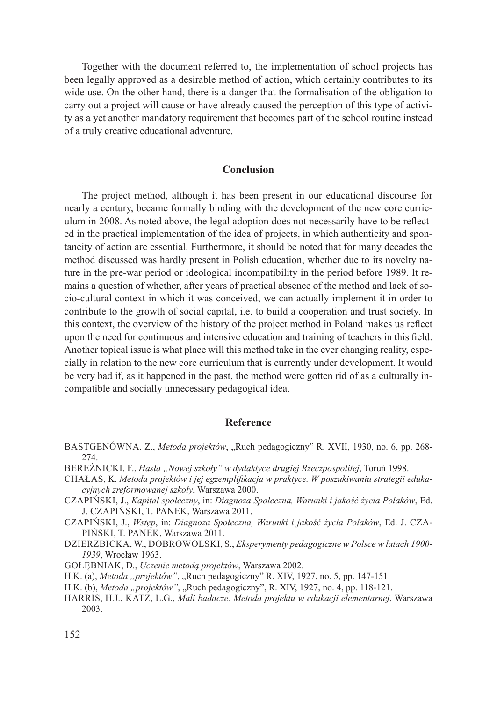Together with the document referred to, the implementation of school projects has been legally approved as a desirable method of action, which certainly contributes to its wide use. On the other hand, there is a danger that the formalisation of the obligation to carry out a project will cause or have already caused the perception of this type of activity as a yet another mandatory requirement that becomes part of the school routine instead of a truly creative educational adventure.

## **Conclusion**

The project method, although it has been present in our educational discourse for nearly a century, became formally binding with the development of the new core curriculum in 2008. As noted above, the legal adoption does not necessarily have to be reflected in the practical implementation of the idea of projects, in which authenticity and spontaneity of action are essential. Furthermore, it should be noted that for many decades the method discussed was hardly present in Polish education, whether due to its novelty nature in the pre-war period or ideological incompatibility in the period before 1989. It remains a question of whether, after years of practical absence of the method and lack of socio-cultural context in which it was conceived, we can actually implement it in order to contribute to the growth of social capital, i.e. to build a cooperation and trust society. In this context, the overview of the history of the project method in Poland makes us reflect upon the need for continuous and intensive education and training of teachers in this field. Another topical issue is what place will this method take in the ever changing reality, especially in relation to the new core curriculum that is currently under development. It would be very bad if, as it happened in the past, the method were gotten rid of as a culturally incompatible and socially unnecessary pedagogical idea.

### **Reference**

- BASTGENÓWNA. Z., *Metoda projektów*, "Ruch pedagogiczny" R. XVII, 1930, no. 6, pp. 268-274.
- Bereźnicki. F., *Hasła "Nowej szkoły" w dydaktyce drugiej Rzeczpospolitej*, Toruń 1998.
- Chałas, K. *Metoda projektów i jej egzemplifikacja w praktyce. W poszukiwaniu strategii edukacyjnych zreformowanej szkoły*, Warszawa 2000.
- Czapiński, J., *Kapitał społeczny*, in: *Diagnoza Społeczna, Warunki i jakość życia Polaków*, Ed. J. Czapiński, T. Panek, Warszawa 2011.
- Czapiński, J., *Wstęp*, in: *Diagnoza Społeczna, Warunki i jakość życia Polaków*, Ed. J. Czapiński, T. Panek, Warszawa 2011.
- Dzierzbicka, W., Dobrowolski, S., *Eksperymenty pedagogiczne w Polsce w latach 1900- 1939*, Wrocław 1963.
- Gołębniak, D., *Uczenie metodą projektów*, Warszawa 2002.
- H.K. (a), *Metoda "projektów"*, "Ruch pedagogiczny" R. XIV, 1927, no. 5, pp. 147-151.
- H.K. (b), *Metoda "projektów"*, "Ruch pedagogiczny", R. XIV, 1927, no. 4, pp. 118-121.
- Harris, H.J., Katz, L.G., *Mali badacze. Metoda projektu w edukacji elementarnej*, Warszawa 2003.